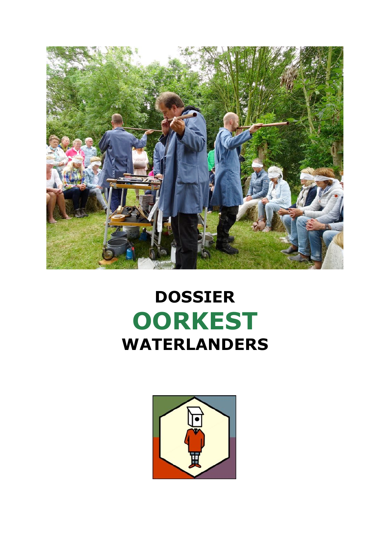

## **DOSSIER OORKEST WATERLANDERS**

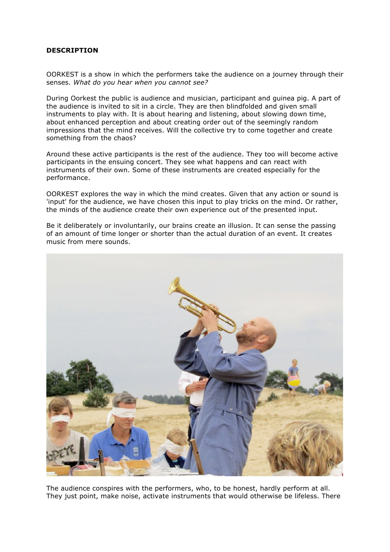## **DESCRIPTION**

OORKEST is a show in which the performers take the audience on a journey through their senses. *What do you hear when you cannot see?*

During Oorkest the public is audience and musician, participant and guinea pig. A part of the audience is invited to sit in a circle. They are then blindfolded and given small instruments to play with. It is about hearing and listening, about slowing down time, about enhanced perception and about creating order out of the seemingly random impressions that the mind receives. Will the collective try to come together and create something from the chaos?

Around these active participants is the rest of the audience. They too will become active participants in the ensuing concert. They see what happens and can react with instruments of their own. Some of these instruments are created especially for the performance.

OORKEST explores the way in which the mind creates. Given that any action or sound is 'input' for the audience, we have chosen this input to play tricks on the mind. Or rather, the minds of the audience create their own experience out of the presented input.

Be it deliberately or involuntarily, our brains create an illusion. It can sense the passing of an amount of time longer or shorter than the actual duration of an event. It creates music from mere sounds.



The audience conspires with the performers, who, to be honest, hardly perform at all. They just point, make noise, activate instruments that would otherwise be lifeless. There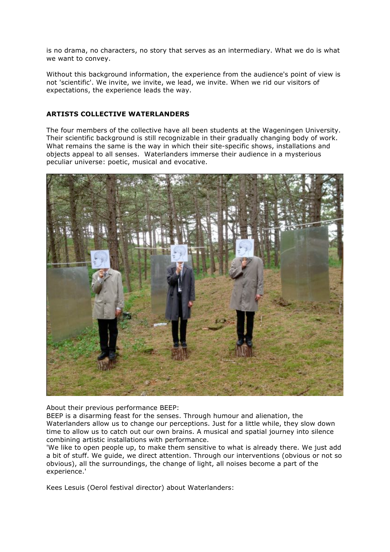is no drama, no characters, no story that serves as an intermediary. What we do is what we want to convey.

Without this background information, the experience from the audience's point of view is not 'scientific'. We invite, we invite, we lead, we invite. When we rid our visitors of expectations, the experience leads the way.

## **ARTISTS COLLECTIVE WATERLANDERS**

The four members of the collective have all been students at the Wageningen University. Their scientific background is still recognizable in their gradually changing body of work. What remains the same is the way in which their site-specific shows, installations and objects appeal to all senses. Waterlanders immerse their audience in a mysterious peculiar universe: poetic, musical and evocative.



About their previous performance BEEP:

BEEP is a disarming feast for the senses. Through humour and alienation, the Waterlanders allow us to change our perceptions. Just for a little while, they slow down time to allow us to catch out our own brains. A musical and spatial journey into silence combining artistic installations with performance.

'We like to open people up, to make them sensitive to what is already there. We just add a bit of stuff. We guide, we direct attention. Through our interventions (obvious or not so obvious), all the surroundings, the change of light, all noises become a part of the experience.'

Kees Lesuis (Oerol festival director) about Waterlanders: